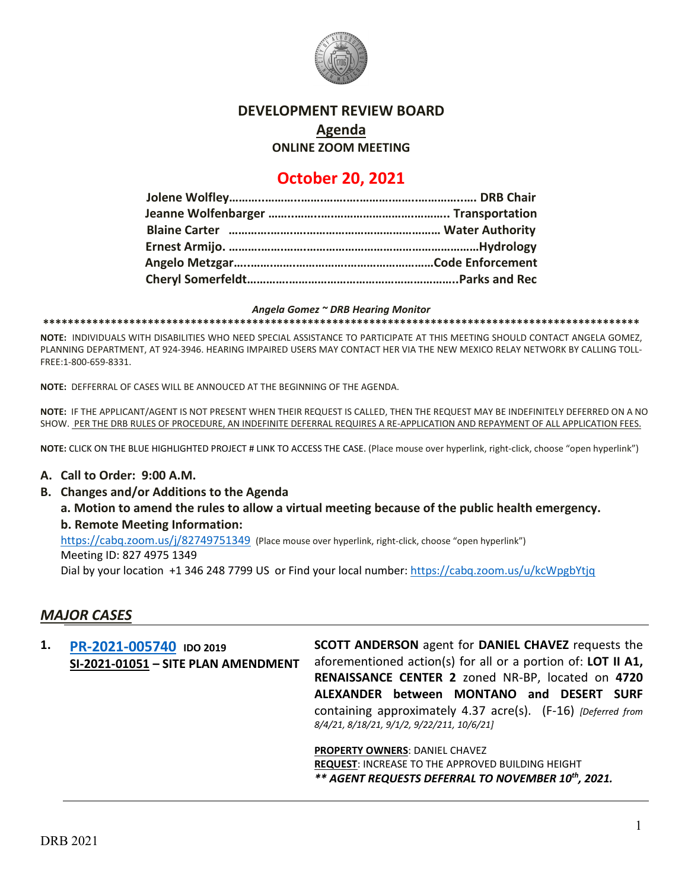

## **DEVELOPMENT REVIEW BOARD**

**Agenda**

**ONLINE ZOOM MEETING**

# **October 20, 2021**

#### *Angela Gomez ~ DRB Hearing Monitor*

**\*\*\*\*\*\*\*\*\*\*\*\*\*\*\*\*\*\*\*\*\*\*\*\*\*\*\*\*\*\*\*\*\*\*\*\*\*\*\*\*\*\*\*\*\*\*\*\*\*\*\*\*\*\*\*\*\*\*\*\*\*\*\*\*\*\*\*\*\*\*\*\*\*\*\*\*\*\*\*\*\*\*\*\*\*\*\*\*\*\*\*\*\*\*\*\*\***

**NOTE:** INDIVIDUALS WITH DISABILITIES WHO NEED SPECIAL ASSISTANCE TO PARTICIPATE AT THIS MEETING SHOULD CONTACT ANGELA GOMEZ, PLANNING DEPARTMENT, AT 924-3946. HEARING IMPAIRED USERS MAY CONTACT HER VIA THE NEW MEXICO RELAY NETWORK BY CALLING TOLL-FREE:1-800-659-8331.

**NOTE:** DEFFERRAL OF CASES WILL BE ANNOUCED AT THE BEGINNING OF THE AGENDA.

**NOTE:** IF THE APPLICANT/AGENT IS NOT PRESENT WHEN THEIR REQUEST IS CALLED, THEN THE REQUEST MAY BE INDEFINITELY DEFERRED ON A NO SHOW. PER THE DRB RULES OF PROCEDURE, AN INDEFINITE DEFERRAL REQUIRES A RE-APPLICATION AND REPAYMENT OF ALL APPLICATION FEES.

**NOTE:** CLICK ON THE BLUE HIGHLIGHTED PROJECT # LINK TO ACCESS THE CASE. (Place mouse over hyperlink, right-click, choose "open hyperlink")

### **A. Call to Order: 9:00 A.M.**

**B. Changes and/or Additions to the Agenda**

**a. Motion to amend the rules to allow a virtual meeting because of the public health emergency. b. Remote Meeting Information:** 

<https://cabq.zoom.us/j/82749751349> (Place mouse over hyperlink, right-click, choose "open hyperlink")

Meeting ID: 827 4975 1349

Dial by your location +1 346 248 7799 US or Find your local number:<https://cabq.zoom.us/u/kcWpgbYtjq>

## *MAJOR CASES*

**1. [PR-2021-005740](http://data.cabq.gov/government/planning/DRB/PR-2021-005740/DRB%20Submittals/) IDO 2019 SI-2021-01051 – SITE PLAN AMENDMENT SCOTT ANDERSON** agent for **DANIEL CHAVEZ** requests the aforementioned action(s) for all or a portion of: **LOT II A1, RENAISSANCE CENTER 2** zoned NR-BP, located on **4720 ALEXANDER between MONTANO and DESERT SURF**  containing approximately 4.37 acre(s). (F-16) *[Deferred from 8/4/21, 8/18/21, 9/1/2, 9/22/211, 10/6/21]* **PROPERTY OWNERS**: DANIEL CHAVEZ **REQUEST**: INCREASE TO THE APPROVED BUILDING HEIGHT *\*\* AGENT REQUESTS DEFERRAL TO NOVEMBER 10th, 2021.*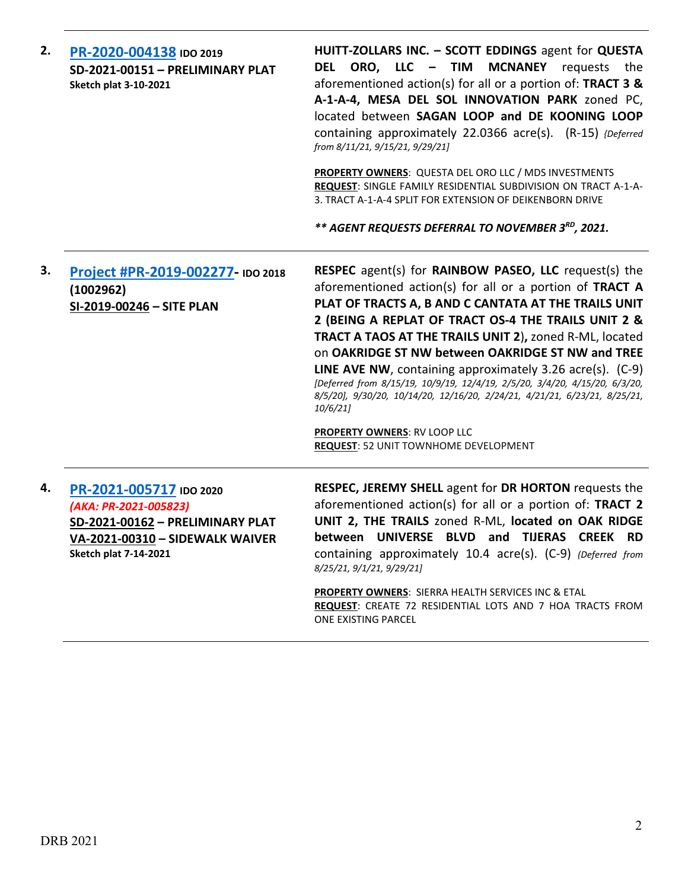| 2. | PR-2020-004138 IDO 2019<br>SD-2021-00151 - PRELIMINARY PLAT<br><b>Sketch plat 3-10-2021</b>                                                             | HUITT-ZOLLARS INC. - SCOTT EDDINGS agent for QUESTA<br>DEL ORO, LLC - TIM<br>MCNANEY requests the<br>aforementioned action(s) for all or a portion of: TRACT 3 &<br>A-1-A-4, MESA DEL SOL INNOVATION PARK zoned PC,<br>located between SAGAN LOOP and DE KOONING LOOP<br>containing approximately 22.0366 acre(s). (R-15) {Deferred<br>from 8/11/21, 9/15/21, 9/29/21]                                                                                                                                                                                                                                                                                                            |
|----|---------------------------------------------------------------------------------------------------------------------------------------------------------|-----------------------------------------------------------------------------------------------------------------------------------------------------------------------------------------------------------------------------------------------------------------------------------------------------------------------------------------------------------------------------------------------------------------------------------------------------------------------------------------------------------------------------------------------------------------------------------------------------------------------------------------------------------------------------------|
|    |                                                                                                                                                         | PROPERTY OWNERS: QUESTA DEL ORO LLC / MDS INVESTMENTS<br>REQUEST: SINGLE FAMILY RESIDENTIAL SUBDIVISION ON TRACT A-1-A-<br>3. TRACT A-1-A-4 SPLIT FOR EXTENSION OF DEIKENBORN DRIVE                                                                                                                                                                                                                                                                                                                                                                                                                                                                                               |
|    |                                                                                                                                                         | ** AGENT REQUESTS DEFERRAL TO NOVEMBER 3 <sup>RD</sup> , 2021.                                                                                                                                                                                                                                                                                                                                                                                                                                                                                                                                                                                                                    |
| З. | Project #PR-2019-002277- IDO 2018<br>(1002962)<br>SI-2019-00246 - SITE PLAN                                                                             | <b>RESPEC</b> agent(s) for <b>RAINBOW PASEO, LLC</b> request(s) the<br>aforementioned action(s) for all or a portion of TRACT A<br>PLAT OF TRACTS A, B AND C CANTATA AT THE TRAILS UNIT<br>2 (BEING A REPLAT OF TRACT OS-4 THE TRAILS UNIT 2 &<br>TRACT A TAOS AT THE TRAILS UNIT 2), zoned R-ML, located<br>on OAKRIDGE ST NW between OAKRIDGE ST NW and TREE<br>LINE AVE NW, containing approximately 3.26 acre(s). (C-9)<br>[Deferred from 8/15/19, 10/9/19, 12/4/19, 2/5/20, 3/4/20, 4/15/20, 6/3/20,<br>8/5/20], 9/30/20, 10/14/20, 12/16/20, 2/24/21, 4/21/21, 6/23/21, 8/25/21,<br>10/6/21<br><b>PROPERTY OWNERS: RV LOOP LLC</b><br>REQUEST: 52 UNIT TOWNHOME DEVELOPMENT |
| 4. | PR-2021-005717 IDO 2020<br>(AKA: PR-2021-005823)<br>SD-2021-00162 - PRELIMINARY PLAT<br>VA-2021-00310 - SIDEWALK WAIVER<br><b>Sketch plat 7-14-2021</b> | RESPEC, JEREMY SHELL agent for DR HORTON requests the<br>aforementioned action(s) for all or a portion of: TRACT 2<br>UNIT 2, THE TRAILS zoned R-ML, located on OAK RIDGE<br>between UNIVERSE BLVD and TIJERAS CREEK RD<br>containing approximately 10.4 acre(s). (C-9) (Deferred from<br>8/25/21, 9/1/21, 9/29/21]<br>PROPERTY OWNERS: SIERRA HEALTH SERVICES INC & ETAL<br>REQUEST: CREATE 72 RESIDENTIAL LOTS AND 7 HOA TRACTS FROM                                                                                                                                                                                                                                            |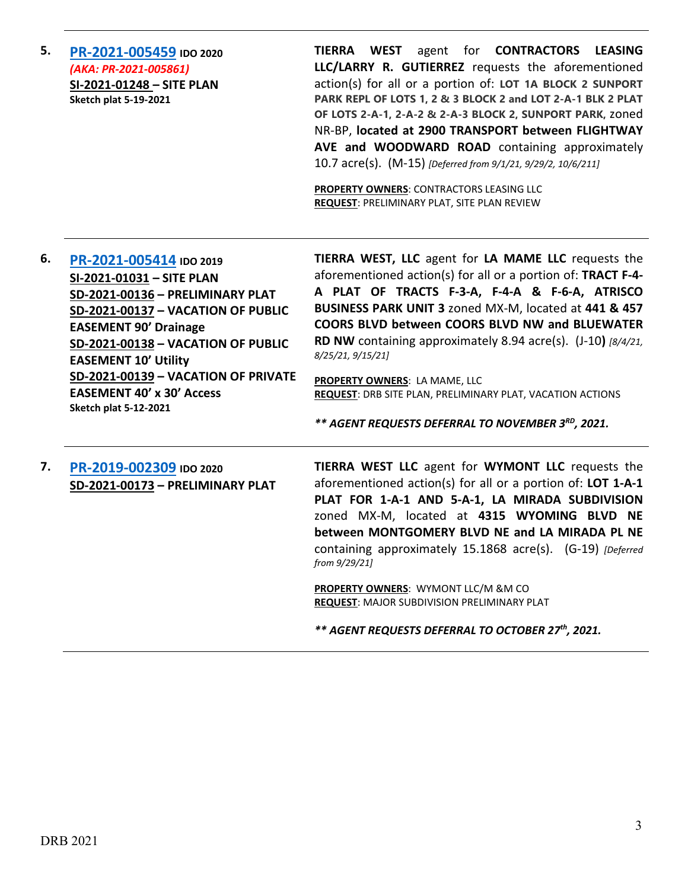**5. [PR-2021-005459](http://data.cabq.gov/government/planning/DRB/PR-2021-005459/DRB%20Submittals/) IDO 2020** *(AKA: PR-2021-005861)* **SI-2021-01248 – SITE PLAN Sketch plat 5-19-2021**

**TIERRA WEST** agent for **CONTRACTORS LEASING LLC/LARRY R. GUTIERREZ** requests the aforementioned action(s) for all or a portion of: **LOT 1A BLOCK 2 SUNPORT PARK REPL OF LOTS 1, 2 & 3 BLOCK 2 and LOT 2-A-1 BLK 2 PLAT OF LOTS 2-A-1, 2-A-2 & 2-A-3 BLOCK 2, SUNPORT PARK,** zoned NR-BP, **located at 2900 TRANSPORT between FLIGHTWAY AVE and WOODWARD ROAD** containing approximately 10.7 acre(s). (M-15) *[Deferred from 9/1/21, 9/29/2, 10/6/211]*

**PROPERTY OWNERS**: CONTRACTORS LEASING LLC **REQUEST**: PRELIMINARY PLAT, SITE PLAN REVIEW

**6. [PR-2021-005414](http://data.cabq.gov/government/planning/DRB/PR-2021-005414/DRB%20Submittals/) IDO 2019 SI-2021-01031 – SITE PLAN SD-2021-00136 – PRELIMINARY PLAT SD-2021-00137 – VACATION OF PUBLIC EASEMENT 90' Drainage SD-2021-00138 – VACATION OF PUBLIC EASEMENT 10' Utility SD-2021-00139 – VACATION OF PRIVATE EASEMENT 40' x 30' Access Sketch plat 5-12-2021**

**TIERRA WEST, LLC** agent for **LA MAME LLC** requests the aforementioned action(s) for all or a portion of: **TRACT F-4- A PLAT OF TRACTS F-3-A, F-4-A & F-6-A, ATRISCO BUSINESS PARK UNIT 3** zoned MX-M, located at **441 & 457 COORS BLVD between COORS BLVD NW and BLUEWATER RD NW** containing approximately 8.94 acre(s). (J-10**)** *[8/4/21, 8/25/21, 9/15/21]*

**PROPERTY OWNERS**: LA MAME, LLC **REQUEST**: DRB SITE PLAN, PRELIMINARY PLAT, VACATION ACTIONS

*\*\* AGENT REQUESTS DEFERRAL TO NOVEMBER 3RD, 2021.*

**7. [PR-2019-002309](http://data.cabq.gov/government/planning/DRB/PR-2019-002309/DRB%20Submittals/) IDO 2020 SD-2021-00173 – PRELIMINARY PLAT** **TIERRA WEST LLC** agent for **WYMONT LLC** requests the aforementioned action(s) for all or a portion of: **LOT 1-A-1 PLAT FOR 1-A-1 AND 5-A-1, LA MIRADA SUBDIVISION** zoned MX-M, located at **4315 WYOMING BLVD NE between MONTGOMERY BLVD NE and LA MIRADA PL NE** containing approximately 15.1868 acre(s). (G-19) *[Deferred from 9/29/21]*

**PROPERTY OWNERS**: WYMONT LLC/M &M CO **REQUEST**: MAJOR SUBDIVISION PRELIMINARY PLAT

*\*\* AGENT REQUESTS DEFERRAL TO OCTOBER 27th, 2021.*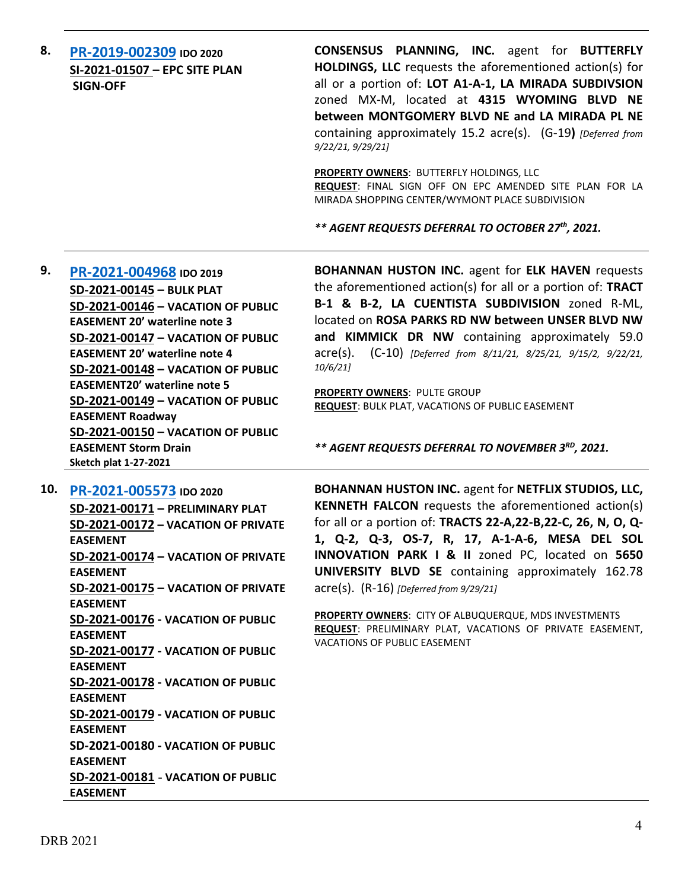**8. [PR-2019-002309](http://data.cabq.gov/government/planning/DRB/PR-2019-002309/DRB%20Submittals/) IDO 2020 SI-2021-01507 – EPC SITE PLAN SIGN-OFF**

**CONSENSUS PLANNING, INC.** agent for **BUTTERFLY HOLDINGS, LLC** requests the aforementioned action(s) for all or a portion of: **LOT A1-A-1, LA MIRADA SUBDIVSION**  zoned MX-M, located at **4315 WYOMING BLVD NE between MONTGOMERY BLVD NE and LA MIRADA PL NE** containing approximately 15.2 acre(s). (G-19**)** *[Deferred from 9/22/21, 9/29/21]*

**PROPERTY OWNERS**: BUTTERFLY HOLDINGS, LLC **REQUEST**: FINAL SIGN OFF ON EPC AMENDED SITE PLAN FOR LA MIRADA SHOPPING CENTER/WYMONT PLACE SUBDIVISION

*\*\* AGENT REQUESTS DEFERRAL TO OCTOBER 27th, 2021.*

**9. [PR-2021-004968](http://data.cabq.gov/government/planning/DRB/PR-2021-004968/DRB%20Submittals/PR-2021-004968_AUG_11_2021%20(Bulk%20P.,%20VPE%20x5)/Application/Bulk_Plat_Submittal_Package%20(1).pdf) IDO 2019 SD-2021-00145 – BULK PLAT SD-2021-00146 – VACATION OF PUBLIC EASEMENT 20' waterline note 3 SD-2021-00147 – VACATION OF PUBLIC EASEMENT 20' waterline note 4 SD-2021-00148 – VACATION OF PUBLIC EASEMENT20' waterline note 5 SD-2021-00149 – VACATION OF PUBLIC EASEMENT Roadway SD-2021-00150 – VACATION OF PUBLIC EASEMENT Storm Drain Sketch plat 1-27-2021**

**BOHANNAN HUSTON INC.** agent for **ELK HAVEN** requests the aforementioned action(s) for all or a portion of: **TRACT B-1 & B-2, LA CUENTISTA SUBDIVISION** zoned R-ML, located on **ROSA PARKS RD NW between UNSER BLVD NW and KIMMICK DR NW** containing approximately 59.0 acre(s). (C-10) *[Deferred from 8/11/21, 8/25/21, 9/15/2, 9/22/21, 10/6/21]*

**PROPERTY OWNERS**: PULTE GROUP **REQUEST**: BULK PLAT, VACATIONS OF PUBLIC EASEMENT

*\*\* AGENT REQUESTS DEFERRAL TO NOVEMBER 3RD, 2021.*

**10. [PR-2021-005573](http://data.cabq.gov/government/planning/DRB/PR-2021-005573/DRB%20Submittals/) IDO 2020 SD-2021-00171 – PRELIMINARY PLAT SD-2021-00172 – VACATION OF PRIVATE EASEMENT SD-2021-00174 – VACATION OF PRIVATE EASEMENT SD-2021-00175 – VACATION OF PRIVATE EASEMENT SD-2021-00176 - VACATION OF PUBLIC EASEMENT SD-2021-00177 - VACATION OF PUBLIC EASEMENT SD-2021-00178 - VACATION OF PUBLIC EASEMENT SD-2021-00179 - VACATION OF PUBLIC EASEMENT SD-2021-00180 - VACATION OF PUBLIC EASEMENT SD-2021-00181** - **VACATION OF PUBLIC EASEMENT**

**BOHANNAN HUSTON INC.** agent for **NETFLIX STUDIOS, LLC, KENNETH FALCON** requests the aforementioned action(s) for all or a portion of: **TRACTS 22-A,22-B,22-C, 26, N, O, Q-1, Q-2, Q-3, OS-7, R, 17, A-1-A-6, MESA DEL SOL INNOVATION PARK I & II** zoned PC, located on **5650 UNIVERSITY BLVD SE** containing approximately 162.78 acre(s). (R-16) *[Deferred from 9/29/21]*

**PROPERTY OWNERS**: CITY OF ALBUQUERQUE, MDS INVESTMENTS **REQUEST**: PRELIMINARY PLAT, VACATIONS OF PRIVATE EASEMENT, VACATIONS OF PUBLIC EASEMENT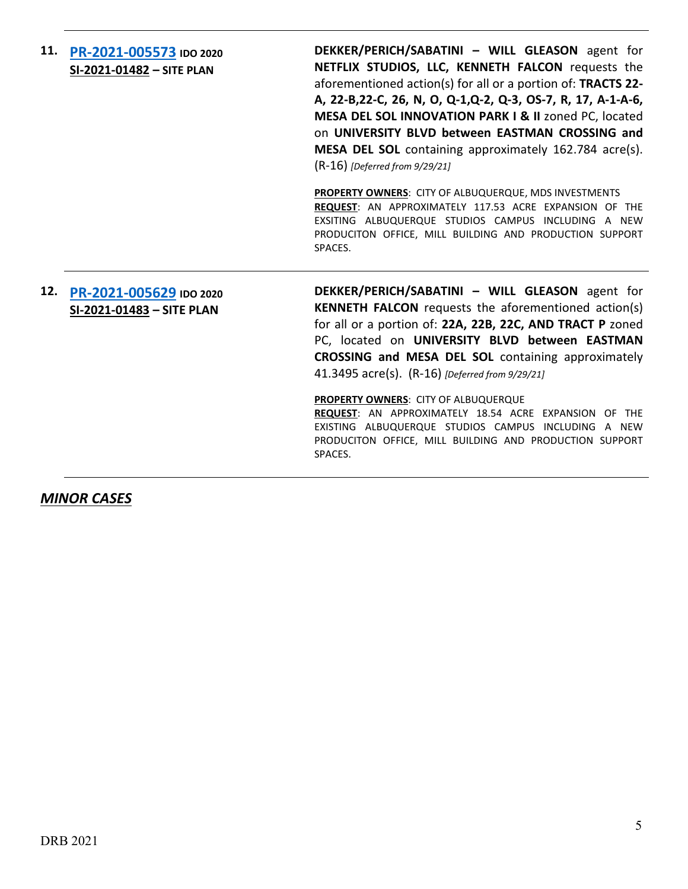**11. [PR-2021-005573](http://data.cabq.gov/government/planning/DRB/PR-2021-005573/DRB%20Submittals/) IDO 2020 SI-2021-01482 – SITE PLAN DEKKER/PERICH/SABATINI – WILL GLEASON** agent for **NETFLIX STUDIOS, LLC, KENNETH FALCON** requests the aforementioned action(s) for all or a portion of: **TRACTS 22- A, 22-B,22-C, 26, N, O, Q-1,Q-2, Q-3, OS-7, R, 17, A-1-A-6, MESA DEL SOL INNOVATION PARK I & II** zoned PC, located on **UNIVERSITY BLVD between EASTMAN CROSSING and MESA DEL SOL** containing approximately 162.784 acre(s). (R-16) *[Deferred from 9/29/21]* **PROPERTY OWNERS**: CITY OF ALBUQUERQUE, MDS INVESTMENTS **REQUEST**: AN APPROXIMATELY 117.53 ACRE EXPANSION OF THE EXSITING ALBUQUERQUE STUDIOS CAMPUS INCLUDING A NEW PRODUCITON OFFICE, MILL BUILDING AND PRODUCTION SUPPORT SPACES. **12. [PR-2021-005629](http://data.cabq.gov/government/planning/DRB/PR-2021-005629/DRB%20Submittals/) IDO 2020 SI-2021-01483 – SITE PLAN DEKKER/PERICH/SABATINI – WILL GLEASON** agent for **KENNETH FALCON** requests the aforementioned action(s) for all or a portion of: **22A, 22B, 22C, AND TRACT P** zoned PC, located on **UNIVERSITY BLVD between EASTMAN CROSSING and MESA DEL SOL** containing approximately 41.3495 acre(s). (R-16) *[Deferred from 9/29/21]* **PROPERTY OWNERS**: CITY OF ALBUQUERQUE **REQUEST**: AN APPROXIMATELY 18.54 ACRE EXPANSION OF THE EXISTING ALBUQUERQUE STUDIOS CAMPUS INCLUDING A NEW PRODUCITON OFFICE, MILL BUILDING AND PRODUCTION SUPPORT SPACES.

*MINOR CASES*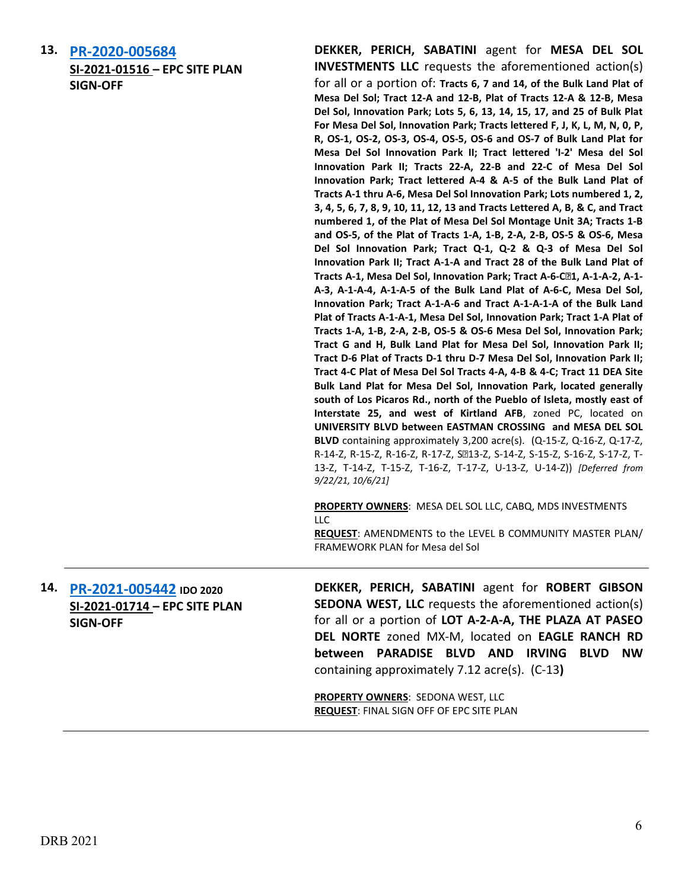**13. [PR-2020-005684](http://data.cabq.gov/government/planning/DRB/PR-2021-005684/DRB%20Submittals/) SI-2021-01516 – EPC SITE PLAN SIGN-OFF**

**DEKKER, PERICH, SABATINI** agent for **MESA DEL SOL INVESTMENTS LLC** requests the aforementioned action(s) for all or a portion of: **Tracts 6, 7 and 14, of the Bulk Land Plat of Mesa Del Sol; Tract 12-A and 12-B, Plat of Tracts 12-A & 12-B, Mesa Del Sol, Innovation Park; Lots 5, 6, 13, 14, 15, 17, and 25 of Bulk Plat For Mesa Del Sol, Innovation Park; Tracts lettered F, J, K, L, M, N, 0, P, R, OS-1, OS-2, OS-3, OS-4, OS-5, OS-6 and OS-7 of Bulk Land Plat for Mesa Del Sol Innovation Park II; Tract lettered 'I-2' Mesa del Sol Innovation Park II; Tracts 22-A, 22-B and 22-C of Mesa Del Sol Innovation Park; Tract lettered A-4 & A-5 of the Bulk Land Plat of Tracts A-1 thru A-6, Mesa Del Sol Innovation Park; Lots numbered 1, 2, 3, 4, 5, 6, 7, 8, 9, 10, 11, 12, 13 and Tracts Lettered A, B, & C, and Tract numbered 1, of the Plat of Mesa Del Sol Montage Unit 3A; Tracts 1-B and OS-5, of the Plat of Tracts 1-A, 1-B, 2-A, 2-B, OS-5 & OS-6, Mesa Del Sol Innovation Park; Tract Q-1, Q-2 & Q-3 of Mesa Del Sol Innovation Park II; Tract A-1-A and Tract 28 of the Bulk Land Plat of Tracts A-1, Mesa Del Sol, Innovation Park; Tract A-6-C-1, A-1-A-2, A-1- A-3, A-1-A-4, A-1-A-5 of the Bulk Land Plat of A-6-C, Mesa Del Sol, Innovation Park; Tract A-1-A-6 and Tract A-1-A-1-A of the Bulk Land Plat of Tracts A-1-A-1, Mesa Del Sol, Innovation Park; Tract 1-A Plat of Tracts 1-A, 1-B, 2-A, 2-B, OS-5 & OS-6 Mesa Del Sol, Innovation Park; Tract G and H, Bulk Land Plat for Mesa Del Sol, Innovation Park II; Tract D-6 Plat of Tracts D-1 thru D-7 Mesa Del Sol, Innovation Park II; Tract 4-C Plat of Mesa Del Sol Tracts 4-A, 4-B & 4-C; Tract 11 DEA Site Bulk Land Plat for Mesa Del Sol, Innovation Park, located generally south of Los Picaros Rd., north of the Pueblo of Isleta, mostly east of Interstate 25, and west of Kirtland AFB**, zoned PC, located on **UNIVERSITY BLVD between EASTMAN CROSSING and MESA DEL SOL BLVD** containing approximately 3,200 acre(s). (Q-15-Z, Q-16-Z, Q-17-Z, R-14-Z, R-15-Z, R-16-Z, R-17-Z, S213-Z, S-14-Z, S-15-Z, S-16-Z, S-17-Z, T-13-Z, T-14-Z, T-15-Z, T-16-Z, T-17-Z, U-13-Z, U-14-Z)) *[Deferred from 9/22/21, 10/6/21]*

**PROPERTY OWNERS**: MESA DEL SOL LLC, CABQ, MDS INVESTMENTS  $\sqcup$  C.

**REQUEST**: AMENDMENTS to the LEVEL B COMMUNITY MASTER PLAN/ FRAMEWORK PLAN for Mesa del Sol

**14. [PR-2021-005442](http://data.cabq.gov/government/planning/DRB/PR-2021-005442/DRB%20Submittals/PR-2021-005442_Oct_20_2021/Application/) IDO 2020 SI-2021-01714 – EPC SITE PLAN SIGN-OFF**

**DEKKER, PERICH, SABATINI** agent for **ROBERT GIBSON SEDONA WEST, LLC** requests the aforementioned action(s) for all or a portion of **LOT A-2-A-A, THE PLAZA AT PASEO DEL NORTE** zoned MX-M, located on **EAGLE RANCH RD between PARADISE BLVD AND IRVING BLVD NW**  containing approximately 7.12 acre(s). (C-13**)**

**PROPERTY OWNERS**: SEDONA WEST, LLC **REQUEST**: FINAL SIGN OFF OF EPC SITE PLAN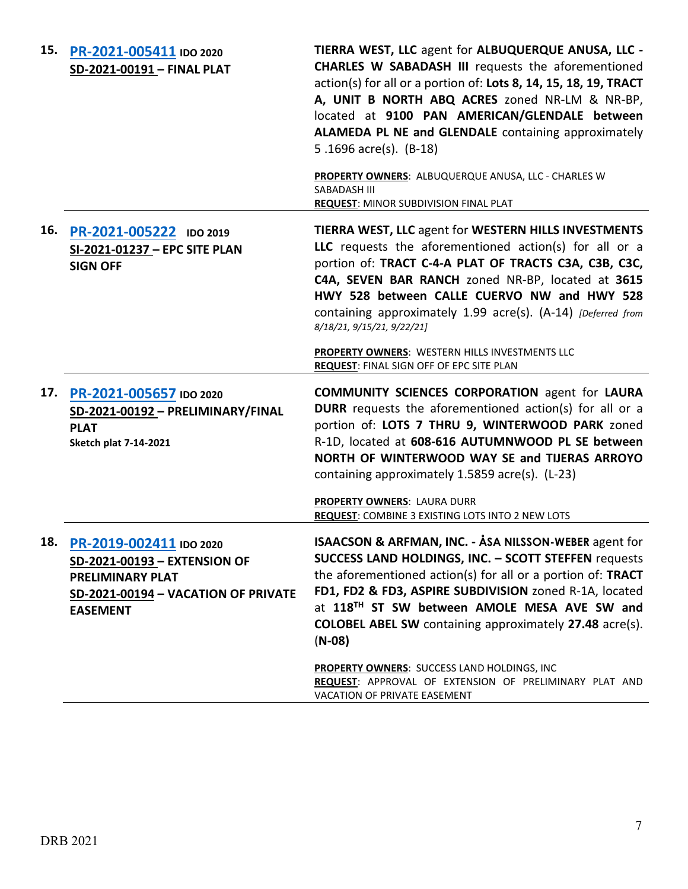| 15. | PR-2021-005411 IDO 2020<br>SD-2021-00191 - FINAL PLAT                                                                                            | TIERRA WEST, LLC agent for ALBUQUERQUE ANUSA, LLC -<br><b>CHARLES W SABADASH III</b> requests the aforementioned<br>action(s) for all or a portion of: Lots 8, 14, 15, 18, 19, TRACT<br>A, UNIT B NORTH ABQ ACRES zoned NR-LM & NR-BP,<br>located at 9100 PAN AMERICAN/GLENDALE between<br>ALAMEDA PL NE and GLENDALE containing approximately<br>5.1696 $\arccos(5)$ . (B-18)         |
|-----|--------------------------------------------------------------------------------------------------------------------------------------------------|----------------------------------------------------------------------------------------------------------------------------------------------------------------------------------------------------------------------------------------------------------------------------------------------------------------------------------------------------------------------------------------|
|     |                                                                                                                                                  | PROPERTY OWNERS: ALBUQUERQUE ANUSA, LLC - CHARLES W<br>SABADASH III<br><b>REQUEST: MINOR SUBDIVISION FINAL PLAT</b>                                                                                                                                                                                                                                                                    |
| 16. | PR-2021-005222 IDO 2019<br>SI-2021-01237 - EPC SITE PLAN<br><b>SIGN OFF</b>                                                                      | <b>TIERRA WEST, LLC agent for WESTERN HILLS INVESTMENTS</b><br>LLC requests the aforementioned action(s) for all or a<br>portion of: TRACT C-4-A PLAT OF TRACTS C3A, C3B, C3C,<br>C4A, SEVEN BAR RANCH zoned NR-BP, located at 3615<br>HWY 528 between CALLE CUERVO NW and HWY 528<br>containing approximately 1.99 acre(s). (A-14) [Deferred from<br>8/18/21, 9/15/21, 9/22/21]       |
|     |                                                                                                                                                  | PROPERTY OWNERS: WESTERN HILLS INVESTMENTS LLC<br>REQUEST: FINAL SIGN OFF OF EPC SITE PLAN                                                                                                                                                                                                                                                                                             |
| 17. | PR-2021-005657 IDO 2020<br>SD-2021-00192 - PRELIMINARY/FINAL<br><b>PLAT</b><br><b>Sketch plat 7-14-2021</b>                                      | <b>COMMUNITY SCIENCES CORPORATION agent for LAURA</b><br><b>DURR</b> requests the aforementioned action(s) for all or a<br>portion of: LOTS 7 THRU 9, WINTERWOOD PARK zoned<br>R-1D, located at 608-616 AUTUMNWOOD PL SE between<br>NORTH OF WINTERWOOD WAY SE and TIJERAS ARROYO<br>containing approximately 1.5859 acre(s). (L-23)<br>PROPERTY OWNERS: LAURA DURR                    |
|     |                                                                                                                                                  | <b>REQUEST:</b> COMBINE 3 EXISTING LOTS INTO 2 NEW LOTS                                                                                                                                                                                                                                                                                                                                |
|     | 18. PR-2019-002411 IDO 2020<br>SD-2021-00193 - EXTENSION OF<br><b>PRELIMINARY PLAT</b><br>SD-2021-00194 - VACATION OF PRIVATE<br><b>EASEMENT</b> | <b>ISAACSON &amp; ARFMAN, INC. - ÅSA NILSSON-WEBER agent for</b><br><b>SUCCESS LAND HOLDINGS, INC. - SCOTT STEFFEN requests</b><br>the aforementioned action(s) for all or a portion of: TRACT<br>FD1, FD2 & FD3, ASPIRE SUBDIVISION zoned R-1A, located<br>at 118TH ST SW between AMOLE MESA AVE SW and<br><b>COLOBEL ABEL SW</b> containing approximately 27.48 acre(s).<br>$(N-08)$ |
|     |                                                                                                                                                  | <b>PROPERTY OWNERS: SUCCESS LAND HOLDINGS, INC</b><br>REQUEST: APPROVAL OF EXTENSION OF PRELIMINARY PLAT AND<br>VACATION OF PRIVATE EASEMENT                                                                                                                                                                                                                                           |